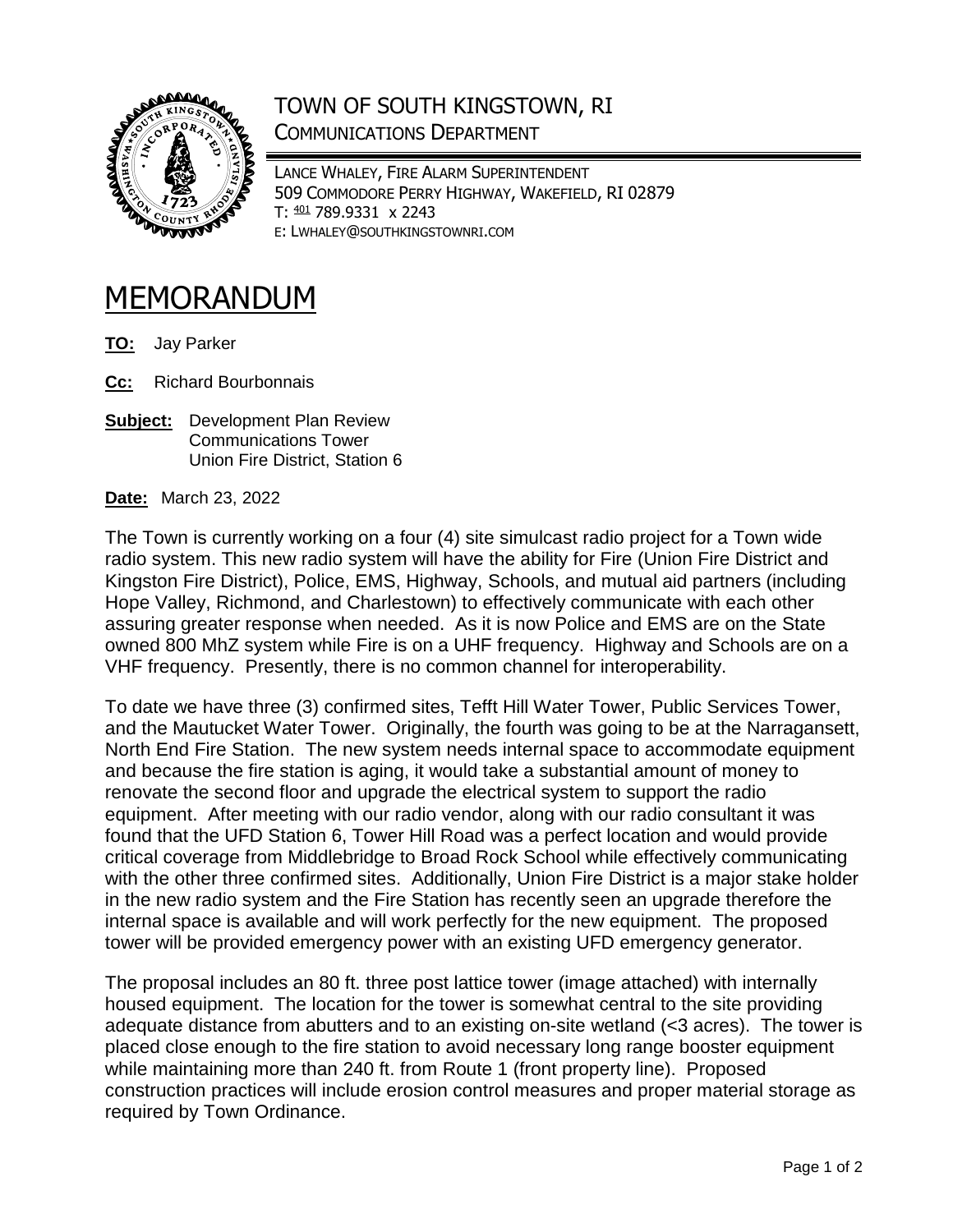

## TOWN OF SOUTH KINGSTOWN, RI COMMUNICATIONS DEPARTMENT

LANCE WHALEY, FIRE ALARM SUPERINTENDENT 509 COMMODORE PERRY HIGHWAY, WAKEFIELD, RI 02879 T: <sup>401</sup> 789.9331 x 2243 E: LWHALEY@SOUTHKINGSTOWNRI.COM

## MEMORANDUM

- **TO:** Jay Parker
- **Cc:** Richard Bourbonnais
- **Subject:** Development Plan Review Communications Tower Union Fire District, Station 6

**Date:** March 23, 2022

The Town is currently working on a four (4) site simulcast radio project for a Town wide radio system. This new radio system will have the ability for Fire (Union Fire District and Kingston Fire District), Police, EMS, Highway, Schools, and mutual aid partners (including Hope Valley, Richmond, and Charlestown) to effectively communicate with each other assuring greater response when needed. As it is now Police and EMS are on the State owned 800 MhZ system while Fire is on a UHF frequency. Highway and Schools are on a VHF frequency. Presently, there is no common channel for interoperability.

To date we have three (3) confirmed sites, Tefft Hill Water Tower, Public Services Tower, and the Mautucket Water Tower. Originally, the fourth was going to be at the Narragansett, North End Fire Station. The new system needs internal space to accommodate equipment and because the fire station is aging, it would take a substantial amount of money to renovate the second floor and upgrade the electrical system to support the radio equipment. After meeting with our radio vendor, along with our radio consultant it was found that the UFD Station 6, Tower Hill Road was a perfect location and would provide critical coverage from Middlebridge to Broad Rock School while effectively communicating with the other three confirmed sites. Additionally, Union Fire District is a major stake holder in the new radio system and the Fire Station has recently seen an upgrade therefore the internal space is available and will work perfectly for the new equipment. The proposed tower will be provided emergency power with an existing UFD emergency generator.

The proposal includes an 80 ft. three post lattice tower (image attached) with internally housed equipment. The location for the tower is somewhat central to the site providing adequate distance from abutters and to an existing on-site wetland (<3 acres). The tower is placed close enough to the fire station to avoid necessary long range booster equipment while maintaining more than 240 ft. from Route 1 (front property line). Proposed construction practices will include erosion control measures and proper material storage as required by Town Ordinance.